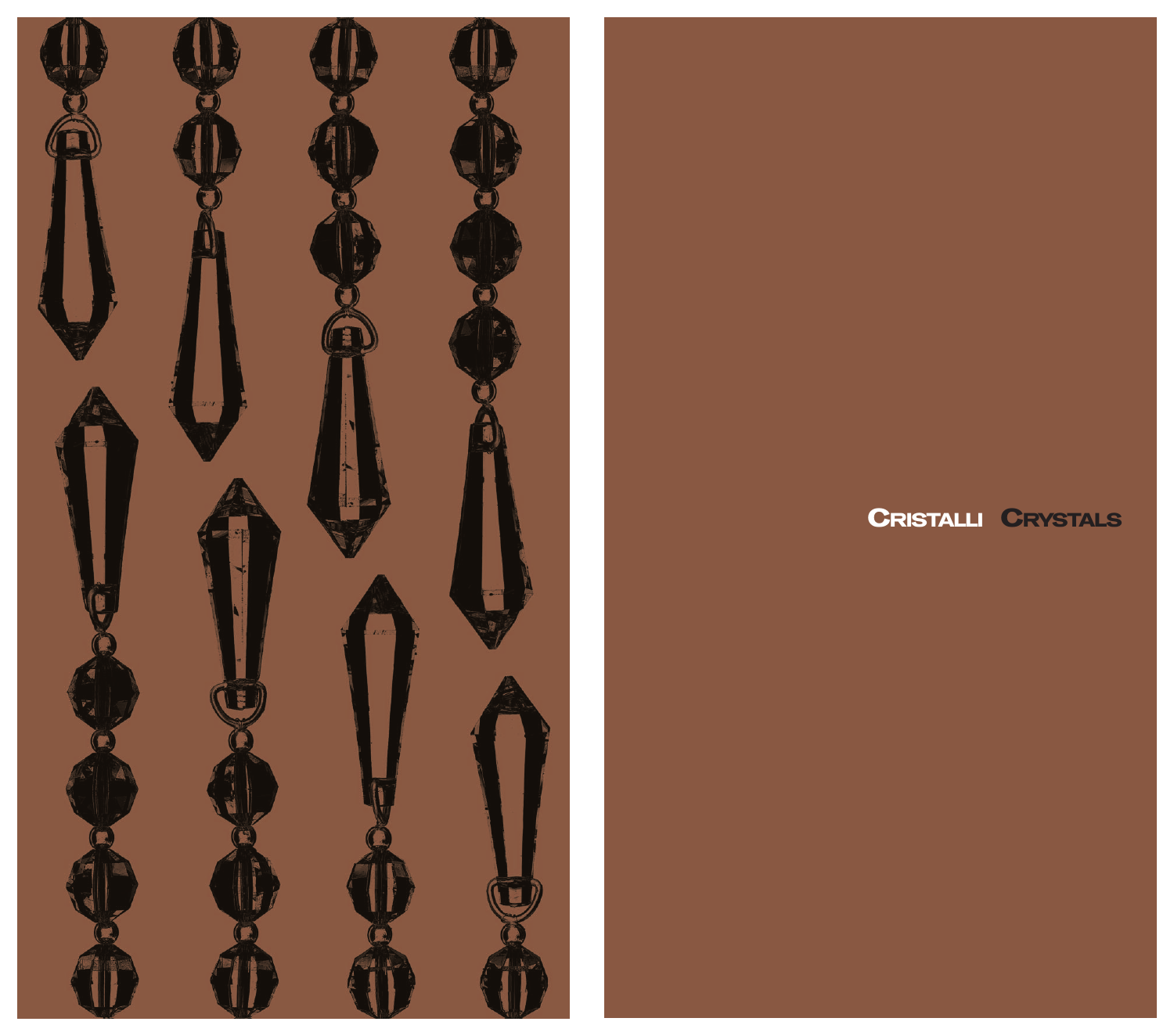

## **CRISTALLI CRYSTALS**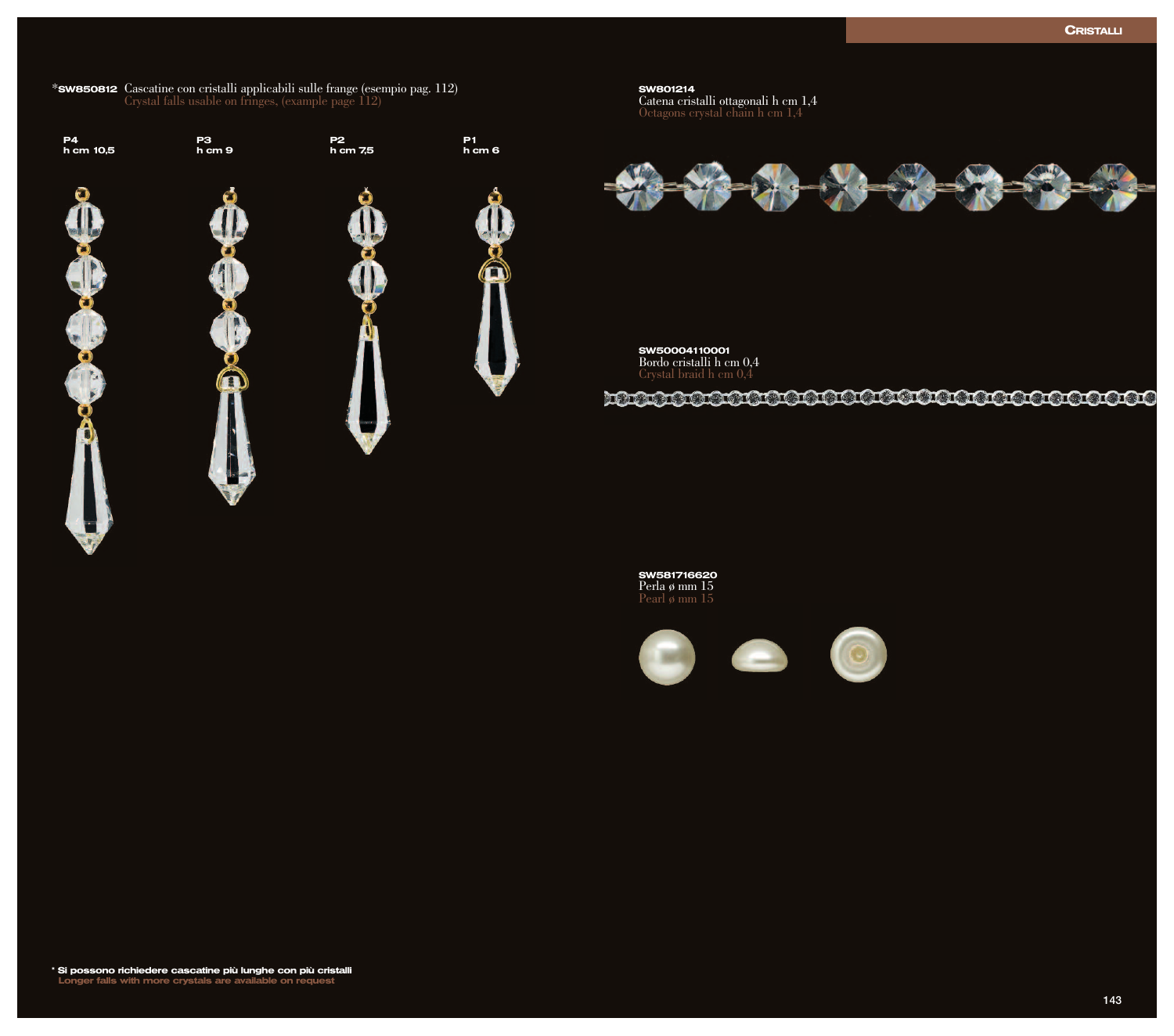



**SW801214** Catena cristalli ottagonali h cm 1,4 Octagons crystal chain h cm 1,4



**SW50004110001** Bordo cristalli h cm 0,4 Crystal braid h cm 0,4

**CECCO COCO COCO COCO COCO COCO COCO CO** 

**SW581716620** Perla ø mm 15 Pearl ø mm 15